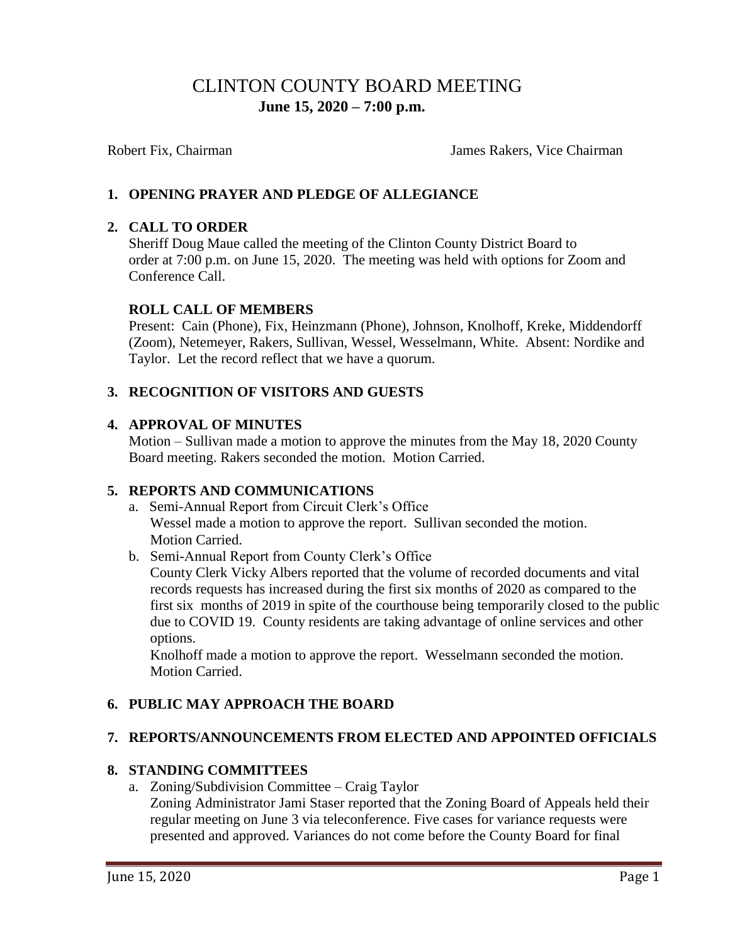# CLINTON COUNTY BOARD MEETING  **June 15, 2020 – 7:00 p.m.**

Robert Fix, Chairman James Rakers, Vice Chairman

# **1. OPENING PRAYER AND PLEDGE OF ALLEGIANCE**

#### **2. CALL TO ORDER**

Sheriff Doug Maue called the meeting of the Clinton County District Board to order at 7:00 p.m. on June 15, 2020. The meeting was held with options for Zoom and Conference Call.

#### **ROLL CALL OF MEMBERS**

Present: Cain (Phone), Fix, Heinzmann (Phone), Johnson, Knolhoff, Kreke, Middendorff (Zoom), Netemeyer, Rakers, Sullivan, Wessel, Wesselmann, White. Absent: Nordike and Taylor. Let the record reflect that we have a quorum.

#### **3. RECOGNITION OF VISITORS AND GUESTS**

#### **4. APPROVAL OF MINUTES**

Motion – Sullivan made a motion to approve the minutes from the May 18, 2020 County Board meeting. Rakers seconded the motion. Motion Carried.

#### **5. REPORTS AND COMMUNICATIONS**

a. Semi-Annual Report from Circuit Clerk's Office Wessel made a motion to approve the report. Sullivan seconded the motion. Motion Carried.

b. Semi-Annual Report from County Clerk's Office

County Clerk Vicky Albers reported that the volume of recorded documents and vital records requests has increased during the first six months of 2020 as compared to the first six months of 2019 in spite of the courthouse being temporarily closed to the public due to COVID 19. County residents are taking advantage of online services and other options.

 Knolhoff made a motion to approve the report. Wesselmann seconded the motion. Motion Carried.

#### **6. PUBLIC MAY APPROACH THE BOARD**

#### **7. REPORTS/ANNOUNCEMENTS FROM ELECTED AND APPOINTED OFFICIALS**

#### **8. STANDING COMMITTEES**

a. Zoning/Subdivision Committee – Craig Taylor

 Zoning Administrator Jami Staser reported that the Zoning Board of Appeals held their regular meeting on June 3 via teleconference. Five cases for variance requests were presented and approved. Variances do not come before the County Board for final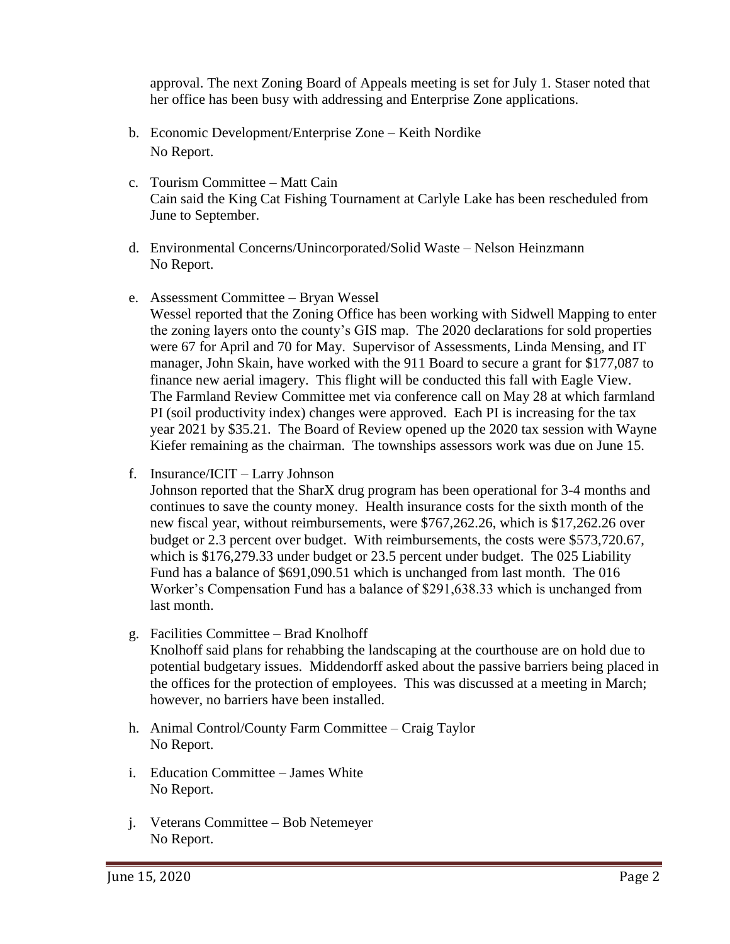approval. The next Zoning Board of Appeals meeting is set for July 1. Staser noted that her office has been busy with addressing and Enterprise Zone applications.

- b. Economic Development/Enterprise Zone Keith Nordike No Report.
- c. Tourism Committee Matt Cain Cain said the King Cat Fishing Tournament at Carlyle Lake has been rescheduled from June to September.
- d. Environmental Concerns/Unincorporated/Solid Waste Nelson Heinzmann No Report.
- e. Assessment Committee Bryan Wessel

Wessel reported that the Zoning Office has been working with Sidwell Mapping to enter the zoning layers onto the county's GIS map. The 2020 declarations for sold properties were 67 for April and 70 for May. Supervisor of Assessments, Linda Mensing, and IT manager, John Skain, have worked with the 911 Board to secure a grant for \$177,087 to finance new aerial imagery. This flight will be conducted this fall with Eagle View. The Farmland Review Committee met via conference call on May 28 at which farmland PI (soil productivity index) changes were approved. Each PI is increasing for the tax year 2021 by \$35.21. The Board of Review opened up the 2020 tax session with Wayne Kiefer remaining as the chairman. The townships assessors work was due on June 15.

f. Insurance/ICIT – Larry Johnson

Johnson reported that the SharX drug program has been operational for 3-4 months and continues to save the county money. Health insurance costs for the sixth month of the new fiscal year, without reimbursements, were \$767,262.26, which is \$17,262.26 over budget or 2.3 percent over budget. With reimbursements, the costs were \$573,720.67, which is \$176,279.33 under budget or 23.5 percent under budget. The 025 Liability Fund has a balance of \$691,090.51 which is unchanged from last month. The 016 Worker's Compensation Fund has a balance of \$291,638.33 which is unchanged from last month.

- g. Facilities Committee Brad Knolhoff Knolhoff said plans for rehabbing the landscaping at the courthouse are on hold due to potential budgetary issues. Middendorff asked about the passive barriers being placed in the offices for the protection of employees. This was discussed at a meeting in March; however, no barriers have been installed.
- h. Animal Control/County Farm Committee Craig Taylor No Report.
- i. Education Committee James White No Report.
- j. Veterans Committee Bob Netemeyer No Report.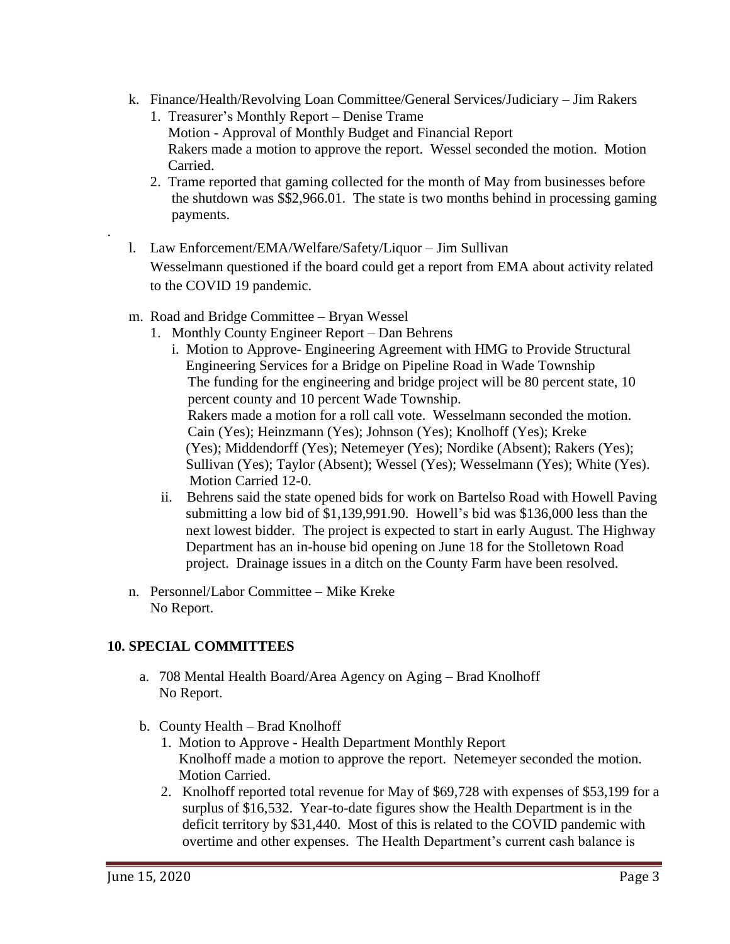- k. Finance/Health/Revolving Loan Committee/General Services/Judiciary Jim Rakers
	- 1. Treasurer's Monthly Report Denise Trame Motion - Approval of Monthly Budget and Financial Report Rakers made a motion to approve the report. Wessel seconded the motion. Motion Carried.
	- 2. Trame reported that gaming collected for the month of May from businesses before the shutdown was \$\$2,966.01. The state is two months behind in processing gaming payments.
- l. Law Enforcement/EMA/Welfare/Safety/Liquor Jim Sullivan Wesselmann questioned if the board could get a report from EMA about activity related to the COVID 19 pandemic.
- m. Road and Bridge Committee Bryan Wessel
	- 1. Monthly County Engineer Report Dan Behrens
		- i. Motion to Approve- Engineering Agreement with HMG to Provide Structural Engineering Services for a Bridge on Pipeline Road in Wade Township The funding for the engineering and bridge project will be 80 percent state, 10 percent county and 10 percent Wade Township. Rakers made a motion for a roll call vote. Wesselmann seconded the motion. Cain (Yes); Heinzmann (Yes); Johnson (Yes); Knolhoff (Yes); Kreke (Yes); Middendorff (Yes); Netemeyer (Yes); Nordike (Absent); Rakers (Yes); Sullivan (Yes); Taylor (Absent); Wessel (Yes); Wesselmann (Yes); White (Yes). Motion Carried 12-0.
		- ii. Behrens said the state opened bids for work on Bartelso Road with Howell Paving submitting a low bid of \$1,139,991.90. Howell's bid was \$136,000 less than the next lowest bidder. The project is expected to start in early August. The Highway Department has an in-house bid opening on June 18 for the Stolletown Road project. Drainage issues in a ditch on the County Farm have been resolved.
- n. Personnel/Labor Committee Mike Kreke No Report.

# **10. SPECIAL COMMITTEES**

- a. 708 Mental Health Board/Area Agency on Aging Brad Knolhoff No Report.
- b. County Health Brad Knolhoff
	- 1. Motion to Approve Health Department Monthly Report Knolhoff made a motion to approve the report. Netemeyer seconded the motion. Motion Carried.
	- 2. Knolhoff reported total revenue for May of \$69,728 with expenses of \$53,199 for a surplus of \$16,532. Year-to-date figures show the Health Department is in the deficit territory by \$31,440. Most of this is related to the COVID pandemic with overtime and other expenses. The Health Department's current cash balance is

.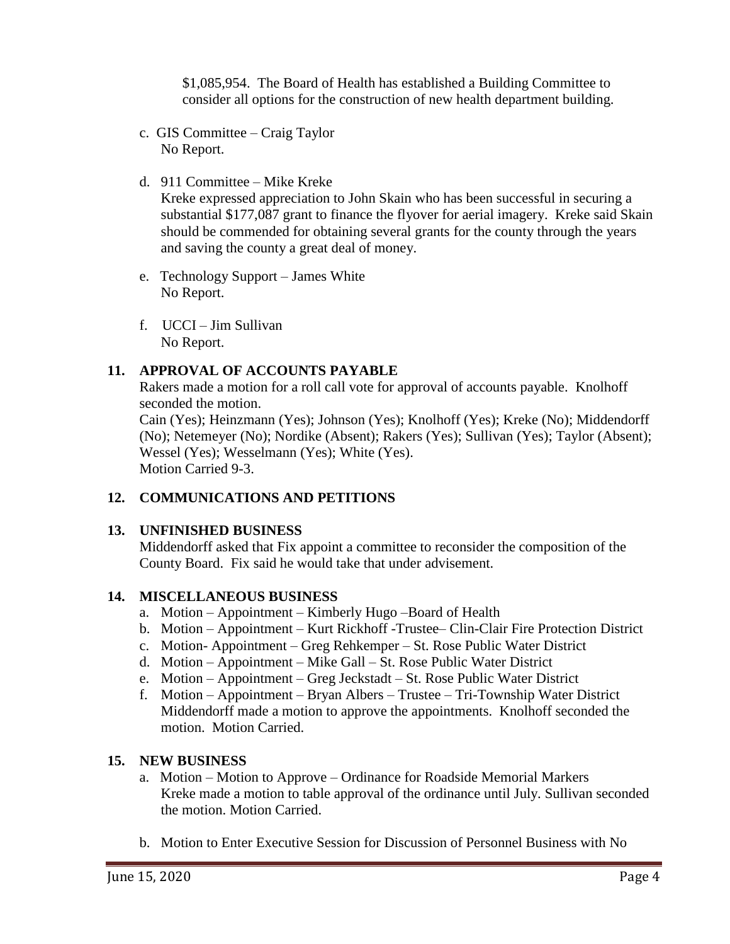\$1,085,954. The Board of Health has established a Building Committee to consider all options for the construction of new health department building.

- c. GIS Committee Craig Taylor No Report.
- d. 911 Committee Mike Kreke

Kreke expressed appreciation to John Skain who has been successful in securing a substantial \$177,087 grant to finance the flyover for aerial imagery. Kreke said Skain should be commended for obtaining several grants for the county through the years and saving the county a great deal of money.

- e. Technology Support James White No Report.
- f. UCCI Jim Sullivan No Report.

# **11. APPROVAL OF ACCOUNTS PAYABLE**

Rakers made a motion for a roll call vote for approval of accounts payable. Knolhoff seconded the motion.

Cain (Yes); Heinzmann (Yes); Johnson (Yes); Knolhoff (Yes); Kreke (No); Middendorff (No); Netemeyer (No); Nordike (Absent); Rakers (Yes); Sullivan (Yes); Taylor (Absent); Wessel (Yes); Wesselmann (Yes); White (Yes). Motion Carried 9-3.

# **12. COMMUNICATIONS AND PETITIONS**

#### **13. UNFINISHED BUSINESS**

Middendorff asked that Fix appoint a committee to reconsider the composition of the County Board. Fix said he would take that under advisement.

#### **14. MISCELLANEOUS BUSINESS**

- a. Motion Appointment Kimberly Hugo –Board of Health
- b. Motion Appointment Kurt Rickhoff -Trustee– Clin-Clair Fire Protection District
- c. Motion- Appointment Greg Rehkemper St. Rose Public Water District
- d. Motion Appointment Mike Gall St. Rose Public Water District
- e. Motion Appointment Greg Jeckstadt St. Rose Public Water District
- f. Motion Appointment Bryan Albers Trustee Tri-Township Water District Middendorff made a motion to approve the appointments. Knolhoff seconded the motion. Motion Carried.

# **15. NEW BUSINESS**

- a. Motion Motion to Approve Ordinance for Roadside Memorial Markers Kreke made a motion to table approval of the ordinance until July. Sullivan seconded the motion. Motion Carried.
- b. Motion to Enter Executive Session for Discussion of Personnel Business with No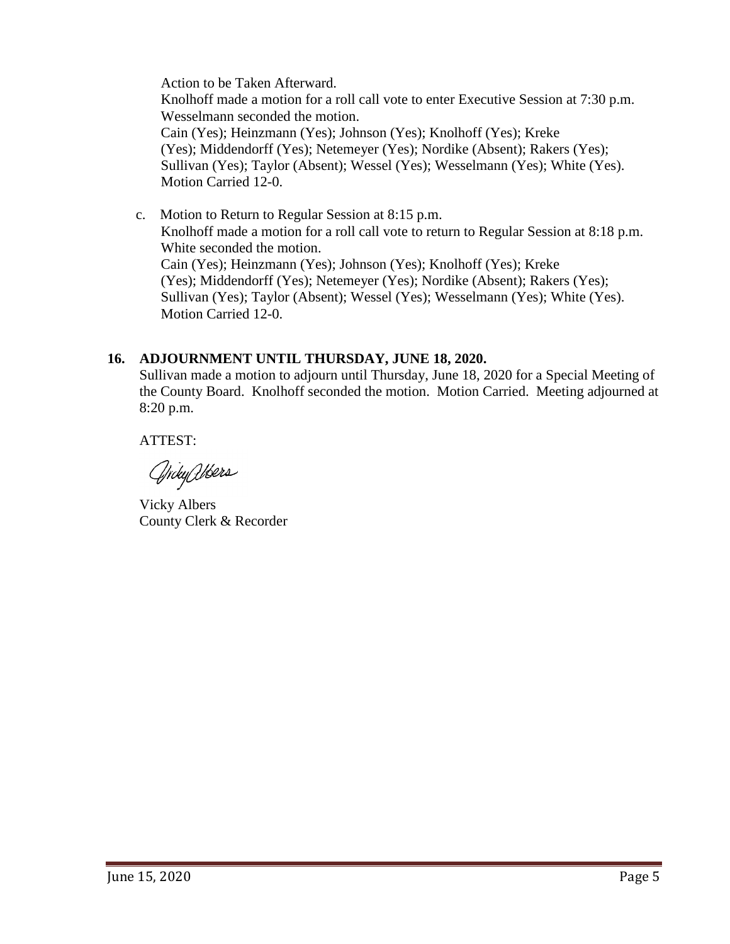Action to be Taken Afterward. Knolhoff made a motion for a roll call vote to enter Executive Session at 7:30 p.m. Wesselmann seconded the motion. Cain (Yes); Heinzmann (Yes); Johnson (Yes); Knolhoff (Yes); Kreke (Yes); Middendorff (Yes); Netemeyer (Yes); Nordike (Absent); Rakers (Yes); Sullivan (Yes); Taylor (Absent); Wessel (Yes); Wesselmann (Yes); White (Yes). Motion Carried 12-0.

 c. Motion to Return to Regular Session at 8:15 p.m. Knolhoff made a motion for a roll call vote to return to Regular Session at 8:18 p.m. White seconded the motion. Cain (Yes); Heinzmann (Yes); Johnson (Yes); Knolhoff (Yes); Kreke (Yes); Middendorff (Yes); Netemeyer (Yes); Nordike (Absent); Rakers (Yes); Sullivan (Yes); Taylor (Absent); Wessel (Yes); Wesselmann (Yes); White (Yes). Motion Carried 12-0.

#### **16. ADJOURNMENT UNTIL THURSDAY, JUNE 18, 2020.**

Sullivan made a motion to adjourn until Thursday, June 18, 2020 for a Special Meeting of the County Board. Knolhoff seconded the motion. Motion Carried. Meeting adjourned at 8:20 p.m.

ATTEST:

GrityWers

Vicky Albers County Clerk & Recorder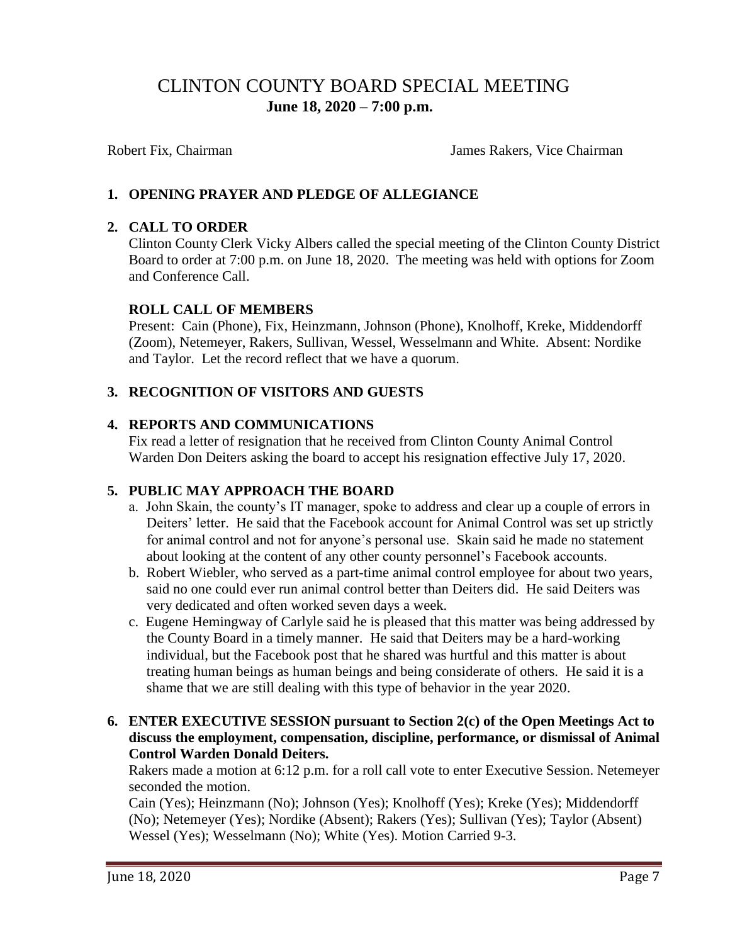# CLINTON COUNTY BOARD SPECIAL MEETING  **June 18, 2020 – 7:00 p.m.**

Robert Fix, Chairman James Rakers, Vice Chairman

# **1. OPENING PRAYER AND PLEDGE OF ALLEGIANCE**

### **2. CALL TO ORDER**

Clinton County Clerk Vicky Albers called the special meeting of the Clinton County District Board to order at 7:00 p.m. on June 18, 2020. The meeting was held with options for Zoom and Conference Call.

#### **ROLL CALL OF MEMBERS**

Present: Cain (Phone), Fix, Heinzmann, Johnson (Phone), Knolhoff, Kreke, Middendorff (Zoom), Netemeyer, Rakers, Sullivan, Wessel, Wesselmann and White. Absent: Nordike and Taylor. Let the record reflect that we have a quorum.

# **3. RECOGNITION OF VISITORS AND GUESTS**

#### **4. REPORTS AND COMMUNICATIONS**

Fix read a letter of resignation that he received from Clinton County Animal Control Warden Don Deiters asking the board to accept his resignation effective July 17, 2020.

#### **5. PUBLIC MAY APPROACH THE BOARD**

- a. John Skain, the county's IT manager, spoke to address and clear up a couple of errors in Deiters' letter. He said that the Facebook account for Animal Control was set up strictly for animal control and not for anyone's personal use. Skain said he made no statement about looking at the content of any other county personnel's Facebook accounts.
- b. Robert Wiebler, who served as a part-time animal control employee for about two years, said no one could ever run animal control better than Deiters did. He said Deiters was very dedicated and often worked seven days a week.
- c. Eugene Hemingway of Carlyle said he is pleased that this matter was being addressed by the County Board in a timely manner. He said that Deiters may be a hard-working individual, but the Facebook post that he shared was hurtful and this matter is about treating human beings as human beings and being considerate of others. He said it is a shame that we are still dealing with this type of behavior in the year 2020.
- **6. ENTER EXECUTIVE SESSION pursuant to Section 2(c) of the Open Meetings Act to discuss the employment, compensation, discipline, performance, or dismissal of Animal Control Warden Donald Deiters.**

Rakers made a motion at 6:12 p.m. for a roll call vote to enter Executive Session. Netemeyer seconded the motion.

Cain (Yes); Heinzmann (No); Johnson (Yes); Knolhoff (Yes); Kreke (Yes); Middendorff (No); Netemeyer (Yes); Nordike (Absent); Rakers (Yes); Sullivan (Yes); Taylor (Absent) Wessel (Yes); Wesselmann (No); White (Yes). Motion Carried 9-3.